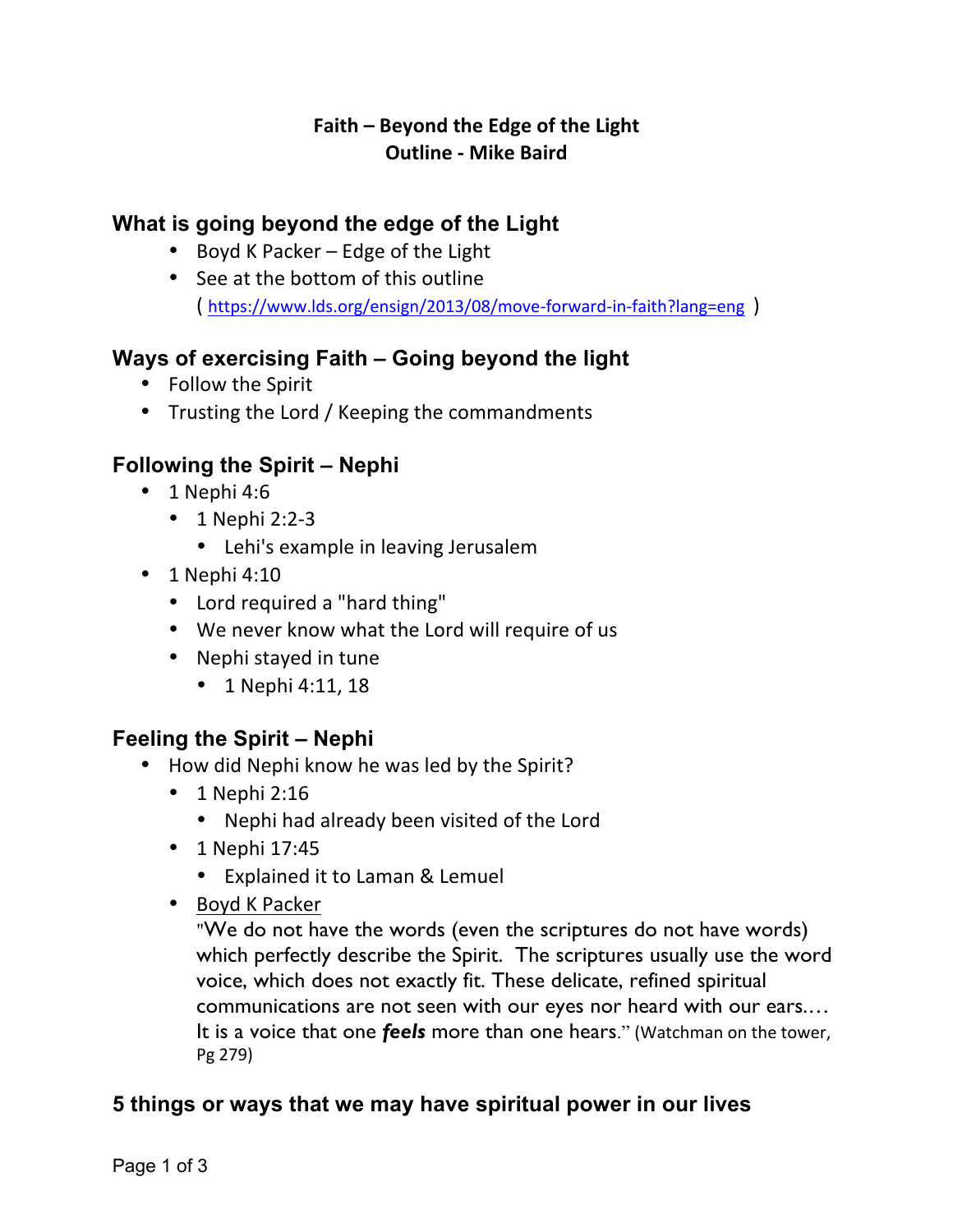### **Faith – Beyond the Edge of the Light Outline - Mike Baird**

## **What is going beyond the edge of the Light**

- Boyd K Packer  $-$  Edge of the Light
- See at the bottom of this outline ( https://www.lds.org/ensign/2013/08/move-forward-in-faith?lang=eng )

# **Ways of exercising Faith – Going beyond the light**

- Follow the Spirit
- Trusting the Lord / Keeping the commandments

# **Following the Spirit – Nephi**

- $\cdot$  1 Nephi 4:6
	- $\bullet$  1 Nephi 2:2-3
		- Lehi's example in leaving Jerusalem
- $\cdot$  1 Nephi 4:10
	- Lord required a "hard thing"
	- We never know what the Lord will require of us
	- Nephi stayed in tune
		- $1$  Nephi 4:11, 18

#### **Feeling the Spirit – Nephi**

- How did Nephi know he was led by the Spirit?
	- $\cdot$  1 Nephi 2:16
		- Nephi had already been visited of the Lord
	- $\cdot$  1 Nephi 17:45
		- Explained it to Laman & Lemuel
	- Boyd K Packer

"We do not have the words (even the scriptures do not have words) which perfectly describe the Spirit. The scriptures usually use the word voice, which does not exactly fit. These delicate, refined spiritual communications are not seen with our eyes nor heard with our ears.… It is a voice that one *feels* more than one hears." (Watchman on the tower, Pg 279)

#### **5 things or ways that we may have spiritual power in our lives**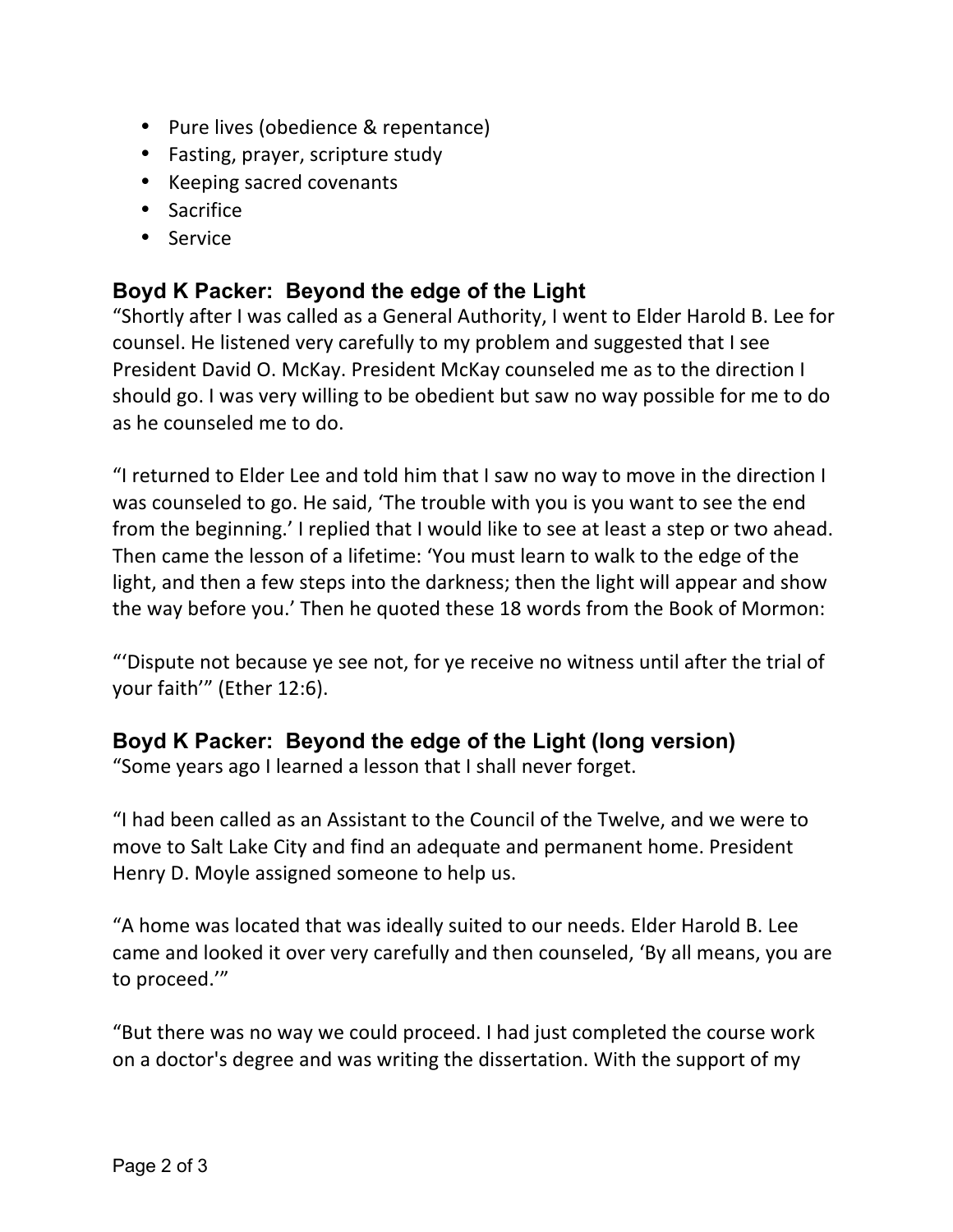- Pure lives (obedience & repentance)
- Fasting, prayer, scripture study
- Keeping sacred covenants
- Sacrifice
- Service

## **Boyd K Packer: Beyond the edge of the Light**

"Shortly after I was called as a General Authority, I went to Elder Harold B. Lee for counsel. He listened very carefully to my problem and suggested that I see President David O. McKay. President McKay counseled me as to the direction I should go. I was very willing to be obedient but saw no way possible for me to do as he counseled me to do.

"I returned to Elder Lee and told him that I saw no way to move in the direction I was counseled to go. He said, 'The trouble with you is you want to see the end from the beginning.' I replied that I would like to see at least a step or two ahead. Then came the lesson of a lifetime: 'You must learn to walk to the edge of the light, and then a few steps into the darkness; then the light will appear and show the way before you.' Then he quoted these 18 words from the Book of Mormon:

"'Dispute not because ye see not, for ye receive no witness until after the trial of your faith'" (Ether 12:6).

#### **Boyd K Packer: Beyond the edge of the Light (long version)**

"Some years ago I learned a lesson that I shall never forget.

"I had been called as an Assistant to the Council of the Twelve, and we were to move to Salt Lake City and find an adequate and permanent home. President Henry D. Moyle assigned someone to help us.

"A home was located that was ideally suited to our needs. Elder Harold B. Lee came and looked it over very carefully and then counseled, 'By all means, you are to proceed.""

"But there was no way we could proceed. I had just completed the course work on a doctor's degree and was writing the dissertation. With the support of my